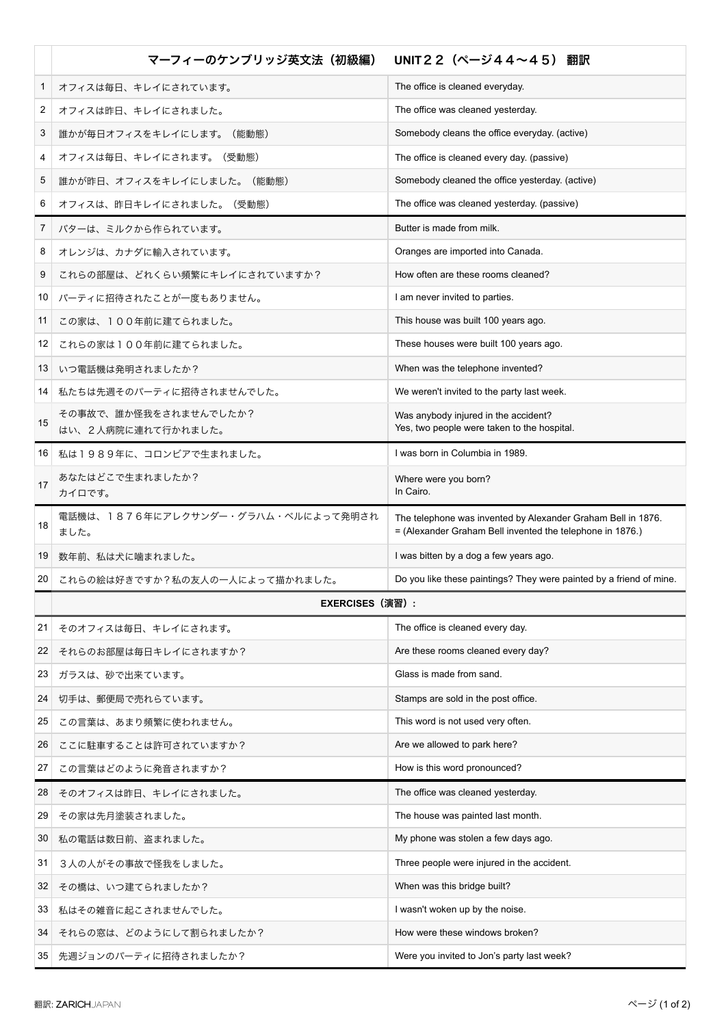|              | マーフィーのケンブリッジ英文法(初級編)                        | UNIT22 (ページ44~45) 翻訳                                                                                                      |
|--------------|---------------------------------------------|---------------------------------------------------------------------------------------------------------------------------|
| $\mathbf{1}$ | オフィスは毎日、キレイにされています。                         | The office is cleaned everyday.                                                                                           |
| 2            | オフィスは昨日、キレイにされました。                          | The office was cleaned yesterday.                                                                                         |
| 3            | 誰かが毎日オフィスをキレイにします。(能動態)                     | Somebody cleans the office everyday. (active)                                                                             |
| 4            | オフィスは毎日、キレイにされます。(受動態)                      | The office is cleaned every day. (passive)                                                                                |
| 5            | 誰かが昨日、オフィスをキレイにしました。(能動態)                   | Somebody cleaned the office yesterday. (active)                                                                           |
| 6            | オフィスは、昨日キレイにされました。 (受動態)                    | The office was cleaned yesterday. (passive)                                                                               |
| 7            | バターは、ミルクから作られています。                          | Butter is made from milk.                                                                                                 |
| 8            | オレンジは、カナダに輸入されています。                         | Oranges are imported into Canada.                                                                                         |
| 9            | これらの部屋は、どれくらい頻繁にキレイにされていますか?                | How often are these rooms cleaned?                                                                                        |
| 10           | パーティに招待されたことが一度もありません。                      | I am never invited to parties.                                                                                            |
| 11           | この家は、100年前に建てられました。                         | This house was built 100 years ago.                                                                                       |
| 12           | これらの家は100年前に建てられました。                        | These houses were built 100 years ago.                                                                                    |
| 13           | いつ電話機は発明されましたか?                             | When was the telephone invented?                                                                                          |
| 14           | 私たちは先週そのパーティに招待されませんでした。                    | We weren't invited to the party last week.                                                                                |
| 15           | その事故で、誰か怪我をされませんでしたか?<br>はい、2人病院に連れて行かれました。 | Was anybody injured in the accident?<br>Yes, two people were taken to the hospital.                                       |
| 16           | 私は1989年に、コロンビアで生まれました。                      | I was born in Columbia in 1989.                                                                                           |
| 17           | あなたはどこで生まれましたか?<br>カイロです。                   | Where were you born?<br>In Cairo.                                                                                         |
| 18           | 電話機は、1876年にアレクサンダー・グラハム・ベルによって発明され<br>ました。  | The telephone was invented by Alexander Graham Bell in 1876.<br>= (Alexander Graham Bell invented the telephone in 1876.) |
| 19           | 数年前、私は犬に噛まれました。                             | I was bitten by a dog a few years ago.                                                                                    |
| 20           | これらの絵は好きですか?私の友人の一人によって描かれました。              | Do you like these paintings? They were painted by a friend of mine.                                                       |
|              | <b>EXERCISES (演習):</b>                      |                                                                                                                           |
| 21           | そのオフィスは毎日、キレイにされます。                         | The office is cleaned every day.                                                                                          |
| 22           | それらのお部屋は毎日キレイにされますか?                        | Are these rooms cleaned every day?                                                                                        |
| 23           | ガラスは、砂で出来ています。                              | Glass is made from sand.                                                                                                  |
| 24           | 切手は、郵便局で売れらています。                            | Stamps are sold in the post office.                                                                                       |
| 25           | この言葉は、あまり頻繁に使われません。                         | This word is not used very often.                                                                                         |
| 26           | ここに駐車することは許可されていますか?                        | Are we allowed to park here?                                                                                              |
| 27           | この言葉はどのように発音されますか?                          | How is this word pronounced?                                                                                              |
| 28           | そのオフィスは昨日、キレイにされました。                        | The office was cleaned yesterday.                                                                                         |
| 29           | その家は先月塗装されました。                              | The house was painted last month.                                                                                         |
| 30           | 私の電話は数日前、盗まれました。                            | My phone was stolen a few days ago.                                                                                       |
| 31           | 3人の人がその事故で怪我をしました。                          | Three people were injured in the accident.                                                                                |
| 32           | その橋は、いつ建てられましたか?                            | When was this bridge built?                                                                                               |
| 33           | 私はその雑音に起こされませんでした。                          | I wasn't woken up by the noise.                                                                                           |
| 34           | それらの窓は、どのようにして割られましたか?                      | How were these windows broken?                                                                                            |
| 35           | 先週ジョンのパーティに招待されましたか?                        | Were you invited to Jon's party last week?                                                                                |